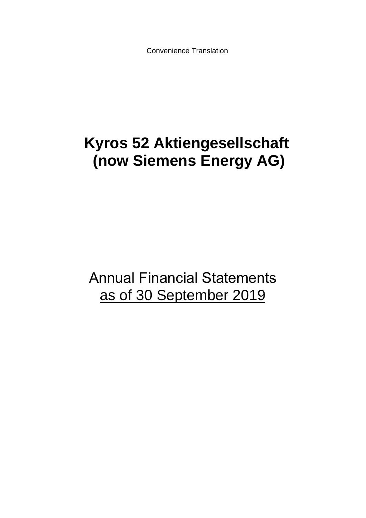Convenience Translation

# **Kyros 52 Aktiengesellschaft (now Siemens Energy AG)**

Annual Financial Statements as of 30 September 2019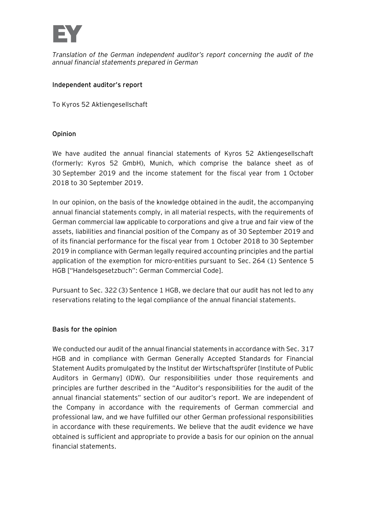

*Translation of the German independent auditor's report concerning the audit of the annual financial statements prepared in German*

## Independent auditor's report

To Kyros 52 Aktiengesellschaft

# **Opinion**

We have audited the annual financial statements of Kyros 52 Aktiengesellschaft (formerly: Kyros 52 GmbH), Munich, which comprise the balance sheet as of 30 September 2019 and the income statement for the fiscal year from 1 October 2018 to 30 September 2019.

In our opinion, on the basis of the knowledge obtained in the audit, the accompanying annual financial statements comply, in all material respects, with the requirements of German commercial law applicable to corporations and give a true and fair view of the assets, liabilities and financial position of the Company as of 30 September 2019 and of its financial performance for the fiscal year from 1 October 2018 to 30 September 2019 in compliance with German legally required accounting principles and the partial application of the exemption for micro-entities pursuant to Sec. 264 (1) Sentence 5 HGB ["Handelsgesetzbuch": German Commercial Code].

Pursuant to Sec. 322 (3) Sentence 1 HGB, we declare that our audit has not led to any reservations relating to the legal compliance of the annual financial statements.

### **Basis for the opinion**

We conducted our audit of the annual financial statements in accordance with Sec. 317 HGB and in compliance with German Generally Accepted Standards for Financial Statement Audits promulgated by the Institut der Wirtschaftsprüfer [Institute of Public Auditors in Germany] (IDW). Our responsibilities under those requirements and principles are further described in the "Auditor's responsibilities for the audit of the annual financial statements" section of our auditor's report. We are independent of the Company in accordance with the requirements of German commercial and professional law, and we have fulfilled our other German professional responsibilities in accordance with these requirements. We believe that the audit evidence we have obtained is sufficient and appropriate to provide a basis for our opinion on the annual financial statements.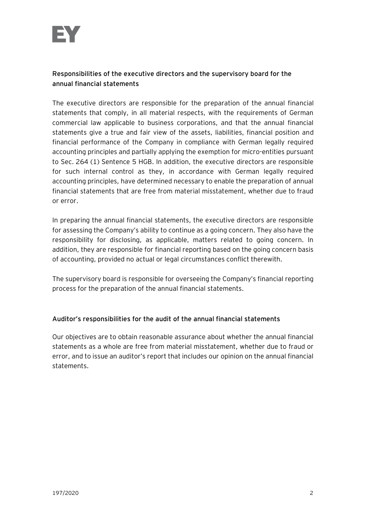

# **Responsibilities of the executive directors and the supervisory board for the annual financial statements**

The executive directors are responsible for the preparation of the annual financial statements that comply, in all material respects, with the requirements of German commercial law applicable to business corporations, and that the annual financial statements give a true and fair view of the assets, liabilities, financial position and financial performance of the Company in compliance with German legally required accounting principles and partially applying the exemption for micro-entities pursuant to Sec. 264 (1) Sentence 5 HGB. In addition, the executive directors are responsible for such internal control as they, in accordance with German legally required accounting principles, have determined necessary to enable the preparation of annual financial statements that are free from material misstatement, whether due to fraud or error.

In preparing the annual financial statements, the executive directors are responsible for assessing the Company's ability to continue as a going concern. They also have the responsibility for disclosing, as applicable, matters related to going concern. In addition, they are responsible for financial reporting based on the going concern basis of accounting, provided no actual or legal circumstances conflict therewith.

The supervisory board is responsible for overseeing the Company's financial reporting process for the preparation of the annual financial statements.

# Auditor's responsibilities for the audit of the annual financial statements

Our objectives are to obtain reasonable assurance about whether the annual financial statements as a whole are free from material misstatement, whether due to fraud or error, and to issue an auditor's report that includes our opinion on the annual financial statements.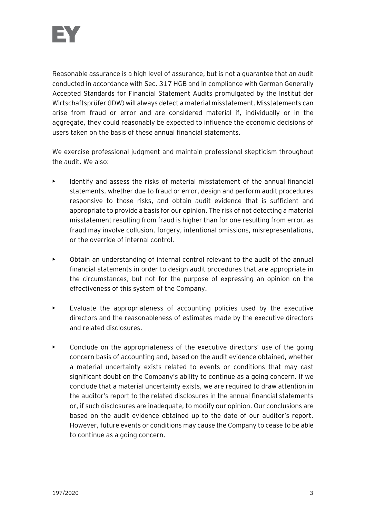

Reasonable assurance is a high level of assurance, but is not a guarantee that an audit conducted in accordance with Sec. 317 HGB and in compliance with German Generally Accepted Standards for Financial Statement Audits promulgated by the Institut der Wirtschaftsprüfer (IDW) will always detect a material misstatement. Misstatements can arise from fraud or error and are considered material if, individually or in the aggregate, they could reasonably be expected to influence the economic decisions of users taken on the basis of these annual financial statements.

We exercise professional judgment and maintain professional skepticism throughout the audit. We also:

- Identify and assess the risks of material misstatement of the annual financial statements, whether due to fraud or error, design and perform audit procedures responsive to those risks, and obtain audit evidence that is sufficient and appropriate to provide a basis for our opinion. The risk of not detecting a material misstatement resulting from fraud is higher than for one resulting from error, as fraud may involve collusion, forgery, intentional omissions, misrepresentations, or the override of internal control.
- Obtain an understanding of internal control relevant to the audit of the annual financial statements in order to design audit procedures that are appropriate in the circumstances, but not for the purpose of expressing an opinion on the effectiveness of this system of the Company.
- Evaluate the appropriateness of accounting policies used by the executive directors and the reasonableness of estimates made by the executive directors and related disclosures.
- Conclude on the appropriateness of the executive directors' use of the going concern basis of accounting and, based on the audit evidence obtained, whether a material uncertainty exists related to events or conditions that may cast significant doubt on the Company's ability to continue as a going concern. If we conclude that a material uncertainty exists, we are required to draw attention in the auditor's report to the related disclosures in the annual financial statements or, if such disclosures are inadequate, to modify our opinion. Our conclusions are based on the audit evidence obtained up to the date of our auditor's report. However, future events or conditions may cause the Company to cease to be able to continue as a going concern.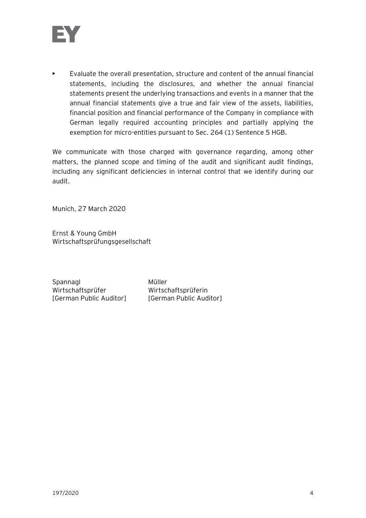

 $\blacktriangleright$  Evaluate the overall presentation, structure and content of the annual financial statements, including the disclosures, and whether the annual financial statements present the underlying transactions and events in a manner that the annual financial statements give a true and fair view of the assets, liabilities, financial position and financial performance of the Company in compliance with German legally required accounting principles and partially applying the exemption for micro-entities pursuant to Sec. 264 (1) Sentence 5 HGB.

We communicate with those charged with governance regarding, among other matters, the planned scope and timing of the audit and significant audit findings, including any significant deficiencies in internal control that we identify during our audit.

Munich, 27 March 2020

Ernst & Young GmbH Wirtschaftsprüfungsgesellschaft

Spannagl Müller Wirtschaftsprüfer Wirtschaftsprüferin [German Public Auditor] [German Public Auditor]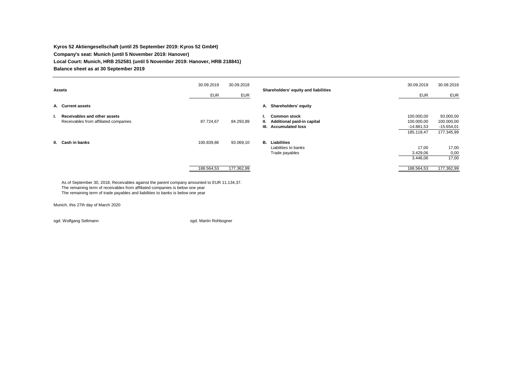#### **Kyros 52 Aktiengesellschaft (until 25 September 2019: Kyros 52 GmbH) Company's seat: Munich (until 5 November 2019: Hanover) Local Court: Munich, HRB 252581 (until 5 November 2019: Hanover, HRB 218841) Balance sheet as at 30 September 2019**

| <b>Assets</b>                                                               | 30.09.2019<br><b>EUR</b> | 30.09.2018<br><b>EUR</b> | Shareholders' equity and liabilities                                                          | 30.09.2019<br><b>EUR</b>                               | 30.09.2018<br><b>EUR</b>                              |
|-----------------------------------------------------------------------------|--------------------------|--------------------------|-----------------------------------------------------------------------------------------------|--------------------------------------------------------|-------------------------------------------------------|
| A. Current assets                                                           |                          |                          | A. Shareholders' equity                                                                       |                                                        |                                                       |
| Receivables and other assets<br>ъ.<br>Receivables from affiliated companies | 87.724,67                | 84.293,89                | <b>Common stock</b><br>٠.<br>II. Additional paid-in capital<br><b>Accumulated loss</b><br>HI. | 100.000,00<br>100.000,00<br>$-14.881,53$<br>185.118,47 | 93.000,00<br>100.000,00<br>$-15.654,01$<br>177.345,99 |
| II. Cash in banks                                                           | 100.839,86               | 93.069,10                | <b>B.</b> Liabilities<br>Liabilities to banks<br>Trade payables                               | 17,00<br>3.429,06<br>3.446,06                          | 17,00<br>0,00<br>17,00                                |
|                                                                             | 188.564,53               | 177.362,99               |                                                                                               | 188.564,53                                             | 177.362,99                                            |

As of September 30, 2018, Receivables against the parent company amounted to EUR 11.134,37. The remaining term of receivables from affiliated companies is below one year. The remaining term of trade payables and liabilities to banks is below one year

Munich, this 27th day of March 2020

sgd. Wolfgang Seltmann sgd. Martin Rohbogner